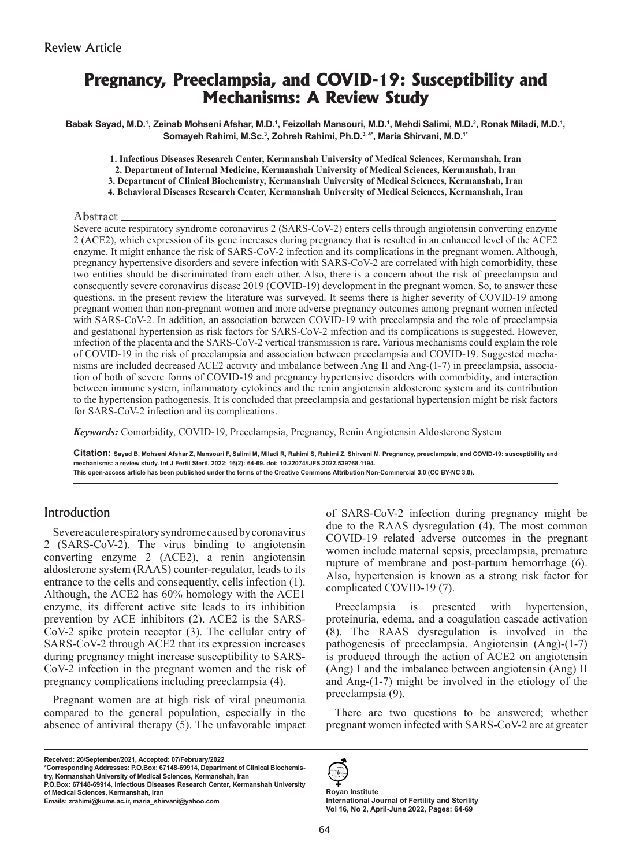# **Pregnancy, Preeclampsia, and COVID-19: Susceptibility and Mechanisms: A Review Study**

Babak Sayad, M.D.<sup>ı</sup>, Zeinab Mohseni Afshar, M.D.<sup>ı</sup>, Feizollah Mansouri, M.D.<sup>ı</sup>, Mehdi Salimi, M.D.<sup>2</sup>, Ronak Miladi, M.D.<sup>ı</sup>, **Somayeh Rahimi, M.Sc.3 , Zohreh Rahimi, Ph.D.3, 4\*, Maria Shirvani, M.D.1\***

**1. Infectious Diseases Research Center, Kermanshah University of Medical Sciences, Kermanshah, Iran**

**2. Department of Internal Medicine, Kermanshah University of Medical Sciences, Kermanshah, Iran**

**3. Department of Clinical Biochemistry, Kermanshah University of Medical Sciences, Kermanshah, Iran**

**4. Behavioral Diseases Research Center, Kermanshah University of Medical Sciences, Kermanshah, Iran**

Abstract.

Severe acute respiratory syndrome coronavirus 2 (SARS-CoV-2) enters cells through angiotensin converting enzyme 2 (ACE2), which expression of its gene increases during pregnancy that is resulted in an enhanced level of the ACE2 enzyme. It might enhance the risk of SARS-CoV-2 infection and its complications in the pregnant women. Although, pregnancy hypertensive disorders and severe infection with SARS-CoV-2 are correlated with high comorbidity, these two entities should be discriminated from each other. Also, there is a concern about the risk of preeclampsia and consequently severe coronavirus disease 2019 (COVID-19) development in the pregnant women. So, to answer these questions, in the present review the literature was surveyed. It seems there is higher severity of COVID-19 among pregnant women than non-pregnant women and more adverse pregnancy outcomes among pregnant women infected with SARS-CoV-2. In addition, an association between COVID-19 with preeclampsia and the role of preeclampsia and gestational hypertension as risk factors for SARS-CoV-2 infection and its complications is suggested. However, infection of the placenta and the SARS-CoV-2 vertical transmission is rare. Various mechanisms could explain the role of COVID-19 in the risk of preeclampsia and association between preeclampsia and COVID-19. Suggested mechanisms are included decreased ACE2 activity and imbalance between Ang II and Ang-(1-7) in preeclampsia, association of both of severe forms of COVID-19 and pregnancy hypertensive disorders with comorbidity, and interaction between immune system, inflammatory cytokines and the renin angiotensin aldosterone system and its contribution to the hypertension pathogenesis. It is concluded that preeclampsia and gestational hypertension might be risk factors for SARS-CoV-2 infection and its complications.

*Keywords:* Comorbidity, COVID-19, Preeclampsia, Pregnancy, Renin Angiotensin Aldosterone System

**Citation: Sayad B, Mohseni Afshar Z, Mansouri F, Salimi M, Miladi R, Rahimi S, Rahimi Z, Shirvani M. Pregnancy, preeclampsia, and COVID-19: susceptibility and mechanisms: a review study. Int J Fertil Steril. 2022; 16(2): 64-69. doi: 10.22074/IJFS.2022.539768.1194. This open-access article has been published under the terms of the Creative Commons Attribution Non-Commercial 3.0 (CC BY-NC 3.0).**

### Introduction

Severe acute respiratory syndrome caused by coronavirus 2 (SARS-CoV-2). The virus binding to angiotensin converting enzyme 2 (ACE2), a renin angiotensin aldosterone system (RAAS) counter-regulator, leads to its entrance to the cells and consequently, cells infection (1). Although, the ACE2 has 60% homology with the ACE1 enzyme, its different active site leads to its inhibition prevention by ACE inhibitors (2). ACE2 is the SARS-CoV-2 spike protein receptor (3). The cellular entry of SARS-CoV-2 through ACE2 that its expression increases during pregnancy might increase susceptibility to SARS-CoV-2 infection in the pregnant women and the risk of pregnancy complications including preeclampsia (4).

Pregnant women are at high risk of viral pneumonia compared to the general population, especially in the absence of antiviral therapy (5). The unfavorable impact

**Received: 26/September/2021, Accepted: 07/February/2022**

**\*Corresponding Addresses: P.O.Box: 67148-69914, Department of Clinical Biochemistry, Kermanshah University of Medical Sciences, Kermanshah, Iran P.O.Box: 67148-69914, Infectious Diseases Research Center, Kermanshah University of Medical Sciences, Kermanshah, Iran**

**Emails: zrahimi@kums.ac.ir, maria\_shirvani@yahoo.com**

of SARS-CoV-2 infection during pregnancy might be due to the RAAS dysregulation (4). The most common COVID-19 related adverse outcomes in the pregnant women include maternal sepsis, preeclampsia, premature rupture of membrane and post-partum hemorrhage (6). Also, hypertension is known as a strong risk factor for complicated COVID-19 (7).

Preeclampsia is presented with hypertension, proteinuria, edema, and a coagulation cascade activation (8). The RAAS dysregulation is involved in the pathogenesis of preeclampsia. Angiotensin (Ang)-(1-7) is produced through the action of ACE2 on angiotensin (Ang) I and the imbalance between angiotensin (Ang) II and Ang-(1-7) might be involved in the etiology of the preeclampsia (9).

There are two questions to be answered; whether pregnant women infected with SARS-CoV-2 are at greater



**Royan Institute International Journal of Fertility and Sterility Vol 16, No 2, April-June 2022, Pages: 64-69**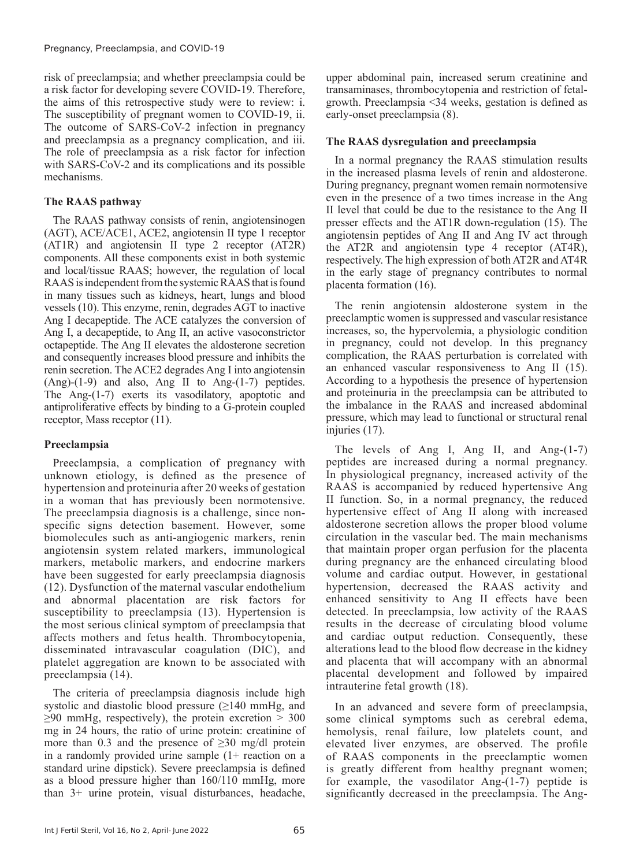risk of preeclampsia; and whether preeclampsia could be a risk factor for developing severe COVID-19. Therefore, the aims of this retrospective study were to review: i. The susceptibility of pregnant women to COVID-19, ii. The outcome of SARS-CoV-2 infection in pregnancy and preeclampsia as a pregnancy complication, and iii. The role of preeclampsia as a risk factor for infection with SARS-CoV-2 and its complications and its possible mechanisms.

#### **The RAAS pathway**

The RAAS pathway consists of renin, angiotensinogen (AGT), ACE/ACE1, ACE2, angiotensin II type 1 receptor (AT1R) and angiotensin II type 2 receptor (AT2R) components. All these components exist in both systemic and local/tissue RAAS; however, the regulation of local RAAS is independent from the systemic RAAS that is found in many tissues such as kidneys, heart, lungs and blood vessels (10). This enzyme, renin, degrades AGT to inactive Ang I decapeptide. The ACE catalyzes the conversion of Ang I, a decapeptide, to Ang II, an active vasoconstrictor octapeptide. The Ang II elevates the aldosterone secretion and consequently increases blood pressure and inhibits the renin secretion. The ACE2 degrades Ang I into angiotensin (Ang)-(1-9) and also, Ang II to Ang-(1-7) peptides. The Ang-(1-7) exerts its vasodilatory, apoptotic and antiproliferative effects by binding to a G-protein coupled receptor, Mass receptor (11).

#### **Preeclampsia**

Preeclampsia, a complication of pregnancy with unknown etiology, is defined as the presence of hypertension and proteinuria after 20 weeks of gestation in a woman that has previously been normotensive. The preeclampsia diagnosis is a challenge, since nonspecific signs detection basement. However, some biomolecules such as anti-angiogenic markers, renin angiotensin system related markers, immunological markers, metabolic markers, and endocrine markers have been suggested for early preeclampsia diagnosis (12). Dysfunction of the maternal vascular endothelium and abnormal placentation are risk factors for susceptibility to preeclampsia (13). Hypertension is the most serious clinical symptom of preeclampsia that affects mothers and fetus health. Thrombocytopenia, disseminated intravascular coagulation (DIC), and platelet aggregation are known to be associated with preeclampsia (14).

The criteria of preeclampsia diagnosis include high systolic and diastolic blood pressure (≥140 mmHg, and  $\geq$ 90 mmHg, respectively), the protein excretion > 300 mg in 24 hours, the ratio of urine protein: creatinine of more than 0.3 and the presence of  $\geq 30$  mg/dl protein in a randomly provided urine sample (1+ reaction on a standard urine dipstick). Severe preeclampsia is defined as a blood pressure higher than 160/110 mmHg, more than 3+ urine protein, visual disturbances, headache,

upper abdominal pain, increased serum creatinine and transaminases, thrombocytopenia and restriction of fetalgrowth. Preeclampsia <34 weeks, gestation is defined as early-onset preeclampsia (8).

#### **The RAAS dysregulation and preeclampsia**

In a normal pregnancy the RAAS stimulation results in the increased plasma levels of renin and aldosterone. During pregnancy, pregnant women remain normotensive even in the presence of a two times increase in the Ang II level that could be due to the resistance to the Ang II presser effects and the AT1R down-regulation (15). The angiotensin peptides of Ang II and Ang IV act through the AT2R and angiotensin type 4 receptor (AT4R), respectively. The high expression of both AT2R and AT4R in the early stage of pregnancy contributes to normal placenta formation (16).

The renin angiotensin aldosterone system in the preeclamptic women is suppressed and vascular resistance increases, so, the hypervolemia, a physiologic condition in pregnancy, could not develop. In this pregnancy complication, the RAAS perturbation is correlated with an enhanced vascular responsiveness to Ang II (15). According to a hypothesis the presence of hypertension and proteinuria in the preeclampsia can be attributed to the imbalance in the RAAS and increased abdominal pressure, which may lead to functional or structural renal injuries (17).

The levels of Ang I, Ang II, and Ang-(1-7) peptides are increased during a normal pregnancy. In physiological pregnancy, increased activity of the RAAS is accompanied by reduced hypertensive Ang II function. So, in a normal pregnancy, the reduced hypertensive effect of Ang II along with increased aldosterone secretion allows the proper blood volume circulation in the vascular bed. The main mechanisms that maintain proper organ perfusion for the placenta during pregnancy are the enhanced circulating blood volume and cardiac output. However, in gestational hypertension, decreased the RAAS activity and enhanced sensitivity to Ang II effects have been detected. In preeclampsia, low activity of the RAAS results in the decrease of circulating blood volume and cardiac output reduction. Consequently, these alterations lead to the blood flow decrease in the kidney and placenta that will accompany with an abnormal placental development and followed by impaired intrauterine fetal growth (18).

In an advanced and severe form of preeclampsia, some clinical symptoms such as cerebral edema, hemolysis, renal failure, low platelets count, and elevated liver enzymes, are observed. The profile of RAAS components in the preeclamptic women is greatly different from healthy pregnant women; for example, the vasodilator Ang-(1-7) peptide is significantly decreased in the preeclampsia. The Ang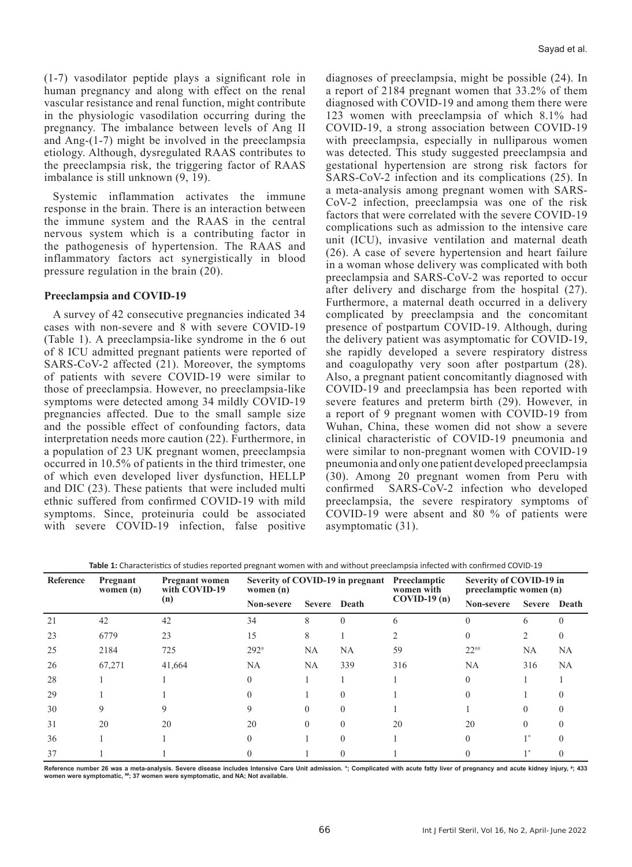(1-7) vasodilator peptide plays a significant role in human pregnancy and along with effect on the renal vascular resistance and renal function, might contribute in the physiologic vasodilation occurring during the pregnancy. The imbalance between levels of Ang II and Ang-(1-7) might be involved in the preeclampsia etiology. Although, dysregulated RAAS contributes to the preeclampsia risk, the triggering factor of RAAS imbalance is still unknown (9, 19).

Systemic inflammation activates the immune response in the brain. There is an interaction between the immune system and the RAAS in the central nervous system which is a contributing factor in the pathogenesis of hypertension. The RAAS and inflammatory factors act synergistically in blood pressure regulation in the brain (20).

#### **Preeclampsia and COVID-19**

A survey of 42 consecutive pregnancies indicated 34 cases with non-severe and 8 with severe COVID-19 (Table 1). A preeclampsia-like syndrome in the 6 out of 8 ICU admitted pregnant patients were reported of SARS-CoV-2 affected (21). Moreover, the symptoms of patients with severe COVID-19 were similar to those of preeclampsia. However, no preeclampsia-like symptoms were detected among 34 mildly COVID-19 pregnancies affected. Due to the small sample size and the possible effect of confounding factors, data interpretation needs more caution (22). Furthermore, in a population of 23 UK pregnant women, preeclampsia occurred in 10.5% of patients in the third trimester, one of which even developed liver dysfunction, HELLP and DIC (23). These patients that were included multi ethnic suffered from confirmed COVID-19 with mild symptoms. Since, proteinuria could be associated with severe COVID-19 infection, false positive

diagnoses of preeclampsia, might be possible (24). In a report of 2184 pregnant women that 33.2% of them diagnosed with COVID-19 and among them there were 123 women with preeclampsia of which 8.1% had COVID-19, a strong association between COVID-19 with preeclampsia, especially in nulliparous women was detected. This study suggested preeclampsia and gestational hypertension are strong risk factors for SARS-CoV-2 infection and its complications (25). In a meta-analysis among pregnant women with SARS-CoV-2 infection, preeclampsia was one of the risk factors that were correlated with the severe COVID-19 complications such as admission to the intensive care unit (ICU), invasive ventilation and maternal death (26). A case of severe hypertension and heart failure in a woman whose delivery was complicated with both preeclampsia and SARS-CoV-2 was reported to occur after delivery and discharge from the hospital (27). Furthermore, a maternal death occurred in a delivery complicated by preeclampsia and the concomitant presence of postpartum COVID-19. Although, during the delivery patient was asymptomatic for COVID-19, she rapidly developed a severe respiratory distress and coagulopathy very soon after postpartum (28). Also, a pregnant patient concomitantly diagnosed with COVID-19 and preeclampsia has been reported with severe features and preterm birth (29). However, in a report of 9 pregnant women with COVID-19 from Wuhan, China, these women did not show a severe clinical characteristic of COVID-19 pneumonia and were similar to non-pregnant women with COVID-19 pneumonia and only one patient developed preeclampsia (30). Among 20 pregnant women from Peru with confirmed SARS-CoV-2 infection who developed preeclampsia, the severe respiratory symptoms of COVID-19 were absent and 80 % of patients were asymptomatic (31).

| Table 1: Characteristics of studies reported pregnant women with and without preeclampsia infected with confirmed COVID-19 |  |
|----------------------------------------------------------------------------------------------------------------------------|--|
|----------------------------------------------------------------------------------------------------------------------------|--|

| ـ ت       |                         |                                               |                                                 |               |       |                            |                                                   |              |           |  |  |
|-----------|-------------------------|-----------------------------------------------|-------------------------------------------------|---------------|-------|----------------------------|---------------------------------------------------|--------------|-----------|--|--|
| Reference | Pregnant<br>women $(n)$ | <b>Pregnant women</b><br>with COVID-19<br>(n) | Severity of COVID-19 in pregnant<br>women $(n)$ |               |       | Preeclamptic<br>women with | Severity of COVID-19 in<br>preeclamptic women (n) |              |           |  |  |
|           |                         |                                               | Non-severe                                      | <b>Severe</b> | Death | $COVID-19(n)$              | Non-severe                                        | Severe Death |           |  |  |
| 21        | 42                      | 42                                            | 34                                              | 8             | 0     | 6                          |                                                   | 6            |           |  |  |
| 23        | 6779                    | 23                                            | 15                                              | 8             |       |                            |                                                   |              |           |  |  |
| 25        | 2184                    | 725                                           | $292*$                                          | <b>NA</b>     | NA    | 59                         | $22^{$                                            | <b>NA</b>    | <b>NA</b> |  |  |
| 26        | 67,271                  | 41,664                                        | <b>NA</b>                                       | <b>NA</b>     | 339   | 316                        | <b>NA</b>                                         | 316          | <b>NA</b> |  |  |
| 28        |                         |                                               |                                                 |               |       |                            |                                                   |              |           |  |  |
| 29        |                         |                                               |                                                 |               |       |                            |                                                   |              |           |  |  |
| 30        |                         |                                               |                                                 |               |       |                            |                                                   |              |           |  |  |
| 31        | 20                      | 20                                            | 20                                              | $\Omega$      |       | 20                         | 20                                                |              |           |  |  |
| 36        |                         |                                               |                                                 |               |       |                            |                                                   |              |           |  |  |
| 37        |                         |                                               |                                                 |               |       |                            |                                                   |              |           |  |  |

**Reference number 26 was a meta-analysis. Severe disease includes Intensive Care Unit admission. \*; Complicated with acute fatty liver of pregnancy and acute kidney injury, # ; 433**  women were symptomatic, ##; 37 women were symptomatic, and NA; Not available.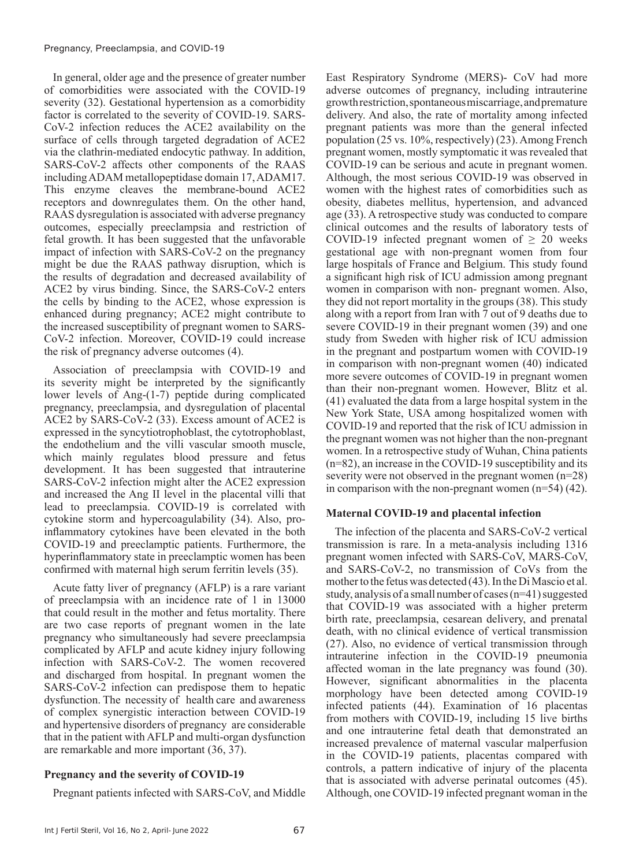In general, older age and the presence of greater number of comorbidities were associated with the COVID-19 severity (32). Gestational hypertension as a comorbidity factor is correlated to the severity of COVID-19. SARS-CoV-2 infection reduces the ACE2 availability on the surface of cells through targeted degradation of ACE2 via the clathrin-mediated endocytic pathway. In addition, SARS-CoV-2 affects other components of the RAAS including ADAM metallopeptidase domain 17, ADAM17. This enzyme cleaves the membrane-bound ACE2 receptors and downregulates them. On the other hand, RAAS dysregulation is associated with adverse pregnancy outcomes, especially preeclampsia and restriction of fetal growth. It has been suggested that the unfavorable impact of infection with SARS-CoV-2 on the pregnancy might be due the RAAS pathway disruption, which is the results of degradation and decreased availability of ACE2 by virus binding. Since, the SARS-CoV-2 enters the cells by binding to the ACE2, whose expression is enhanced during pregnancy; ACE2 might contribute to the increased susceptibility of pregnant women to SARS-CoV-2 infection. Moreover, COVID-19 could increase the risk of pregnancy adverse outcomes (4).

Association of preeclampsia with COVID-19 and its severity might be interpreted by the significantly lower levels of Ang-(1-7) peptide during complicated pregnancy, preeclampsia, and dysregulation of placental ACE2 by SARS-CoV-2 (33). Excess amount of ACE2 is expressed in the syncytiotrophoblast, the cytotrophoblast, the endothelium and the villi vascular smooth muscle, which mainly regulates blood pressure and fetus development. It has been suggested that intrauterine SARS-CoV-2 infection might alter the ACE2 expression and increased the Ang II level in the placental villi that lead to preeclampsia. COVID-19 is correlated with cytokine storm and hypercoagulability (34). Also, proinflammatory cytokines have been elevated in the both COVID-19 and preeclamptic patients. Furthermore, the hyperinflammatory state in preeclamptic women has been confirmed with maternal high serum ferritin levels (35).

Acute fatty liver of pregnancy (AFLP) is a rare variant of preeclampsia with an incidence rate of 1 in 13000 that could result in the mother and fetus mortality. There are two case reports of pregnant women in the late pregnancy who simultaneously had severe preeclampsia complicated by AFLP and acute kidney injury following infection with SARS-CoV-2. The women recovered and discharged from hospital. In pregnant women the SARS-CoV-2 infection can predispose them to hepatic dysfunction. The necessity of health care and awareness of complex synergistic interaction between COVID-19 and hypertensive disorders of pregnancy are considerable that in the patient with AFLP and multi-organ dysfunction are remarkable and more important (36, 37).

#### **Pregnancy and the severity of COVID-19**

Pregnant patients infected with SARS-CoV, and Middle

East Respiratory Syndrome (MERS)- CoV had more adverse outcomes of pregnancy, including intrauterine growth restriction, spontaneous miscarriage, and premature delivery. And also, the rate of mortality among infected pregnant patients was more than the general infected population (25 vs. 10%, respectively) (23). Among French pregnant women, mostly symptomatic it was revealed that COVID-19 can be serious and acute in pregnant women. Although, the most serious COVID-19 was observed in women with the highest rates of comorbidities such as obesity, diabetes mellitus, hypertension, and advanced age (33). A retrospective study was conducted to compare clinical outcomes and the results of laboratory tests of COVID-19 infected pregnant women of  $\geq$  20 weeks gestational age with non-pregnant women from four large hospitals of France and Belgium. This study found a significant high risk of ICU admission among pregnant women in comparison with non- pregnant women. Also, they did not report mortality in the groups (38). This study along with a report from Iran with 7 out of 9 deaths due to severe COVID-19 in their pregnant women (39) and one study from Sweden with higher risk of ICU admission in the pregnant and postpartum women with COVID-19 in comparison with non-pregnant women (40) indicated more severe outcomes of COVID-19 in pregnant women than their non-pregnant women. However, Blitz et al. (41) evaluated the data from a large hospital system in the New York State, USA among hospitalized women with COVID-19 and reported that the risk of ICU admission in the pregnant women was not higher than the non-pregnant women. In a retrospective study of Wuhan, China patients (n=82), an increase in the COVID-19 susceptibility and its severity were not observed in the pregnant women (n=28) in comparison with the non-pregnant women  $(n=54)$  (42).

#### **Maternal COVID-19 and placental infection**

The infection of the placenta and SARS-CoV-2 vertical transmission is rare. In a meta-analysis including 1316 pregnant women infected with SARS-CoV, MARS-CoV, and SARS-CoV-2, no transmission of CoVs from the mother to the fetus was detected (43). In the Di Mascio et al. study, analysis of a small number of cases (n=41) suggested that COVID-19 was associated with a higher preterm birth rate, preeclampsia, cesarean delivery, and prenatal death, with no clinical evidence of vertical transmission (27). Also, no evidence of vertical transmission through intrauterine infection in the COVID-19 pneumonia affected woman in the late pregnancy was found (30). However, significant abnormalities in the placenta morphology have been detected among COVID-19 infected patients (44). Examination of 16 placentas from mothers with COVID-19, including 15 live births and one intrauterine fetal death that demonstrated an increased prevalence of maternal vascular malperfusion in the COVID-19 patients, placentas compared with controls, a pattern indicative of injury of the placenta that is associated with adverse perinatal outcomes (45). Although, one COVID-19 infected pregnant woman in the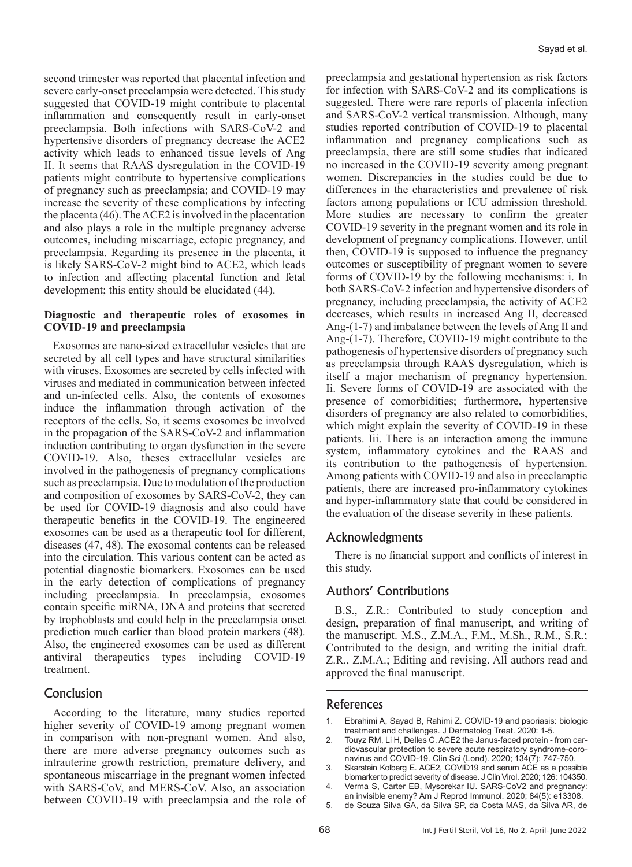second trimester was reported that placental infection and severe early-onset preeclampsia were detected. This study suggested that COVID-19 might contribute to placental inflammation and consequently result in early-onset preeclampsia. Both infections with SARS-CoV-2 and hypertensive disorders of pregnancy decrease the ACE2 activity which leads to enhanced tissue levels of Ang II. It seems that RAAS dysregulation in the COVID-19 patients might contribute to hypertensive complications of pregnancy such as preeclampsia; and COVID-19 may increase the severity of these complications by infecting the placenta (46). The ACE2 is involved in the placentation and also plays a role in the multiple pregnancy adverse outcomes, including miscarriage, ectopic pregnancy, and preeclampsia. Regarding its presence in the placenta, it is likely SARS-CoV-2 might bind to ACE2, which leads to infection and affecting placental function and fetal development; this entity should be elucidated (44).

#### **Diagnostic and therapeutic roles of exosomes in COVID-19 and preeclampsia**

Exosomes are nano-sized extracellular vesicles that are secreted by all cell types and have structural similarities with viruses. Exosomes are secreted by cells infected with viruses and mediated in communication between infected and un-infected cells. Also, the contents of exosomes induce the inflammation through activation of the receptors of the cells. So, it seems exosomes be involved in the propagation of the SARS-CoV-2 and inflammation induction contributing to organ dysfunction in the severe COVID-19. Also, theses extracellular vesicles are involved in the pathogenesis of pregnancy complications such as preeclampsia. Due to modulation of the production and composition of exosomes by SARS-CoV-2, they can be used for COVID-19 diagnosis and also could have therapeutic benefits in the COVID-19. The engineered exosomes can be used as a therapeutic tool for different, diseases (47, 48). The exosomal contents can be released into the circulation. This various content can be acted as potential diagnostic biomarkers. Exosomes can be used in the early detection of complications of pregnancy including preeclampsia. In preeclampsia, exosomes contain specific miRNA, DNA and proteins that secreted by trophoblasts and could help in the preeclampsia onset prediction much earlier than blood protein markers (48). Also, the engineered exosomes can be used as different antiviral therapeutics types including COVID-19 treatment.

## Conclusion

According to the literature, many studies reported higher severity of COVID-19 among pregnant women in comparison with non-pregnant women. And also, there are more adverse pregnancy outcomes such as intrauterine growth restriction, premature delivery, and spontaneous miscarriage in the pregnant women infected with SARS-CoV, and MERS-CoV. Also, an association between COVID-19 with preeclampsia and the role of

preeclampsia and gestational hypertension as risk factors for infection with SARS-CoV-2 and its complications is suggested. There were rare reports of placenta infection and SARS-CoV-2 vertical transmission. Although, many studies reported contribution of COVID-19 to placental inflammation and pregnancy complications such as preeclampsia, there are still some studies that indicated no increased in the COVID-19 severity among pregnant women. Discrepancies in the studies could be due to differences in the characteristics and prevalence of risk factors among populations or ICU admission threshold. More studies are necessary to confirm the greater COVID-19 severity in the pregnant women and its role in development of pregnancy complications. However, until then, COVID-19 is supposed to influence the pregnancy outcomes or susceptibility of pregnant women to severe forms of COVID-19 by the following mechanisms: i. In both SARS-CoV-2 infection and hypertensive disorders of pregnancy, including preeclampsia, the activity of ACE2 decreases, which results in increased Ang II, decreased Ang-(1-7) and imbalance between the levels of Ang II and Ang-(1-7). Therefore, COVID-19 might contribute to the pathogenesis of hypertensive disorders of pregnancy such as preeclampsia through RAAS dysregulation, which is itself a major mechanism of pregnancy hypertension. Ii. Severe forms of COVID-19 are associated with the presence of comorbidities; furthermore, hypertensive disorders of pregnancy are also related to comorbidities, which might explain the severity of COVID-19 in these patients. Iii. There is an interaction among the immune system, inflammatory cytokines and the RAAS and its contribution to the pathogenesis of hypertension. Among patients with COVID-19 and also in preeclamptic patients, there are increased pro-inflammatory cytokines and hyper-inflammatory state that could be considered in the evaluation of the disease severity in these patients.

## Acknowledgments

There is no financial support and conflicts of interest in this study.

## Authors' Contributions

B.S., Z.R.: Contributed to study conception and design, preparation of final manuscript, and writing of the manuscript. M.S., Z.M.A., F.M., M.Sh., R.M., S.R.; Contributed to the design, and writing the initial draft. Z.R., Z.M.A.; Editing and revising. All authors read and approved the final manuscript.

#### References

- 1. Ebrahimi A, Sayad B, Rahimi Z. COVID-19 and psoriasis: biologic treatment and challenges. J Dermatolog Treat. 2020: 1-5.
- 2. Touyz RM, Li H, Delles C. ACE2 the Janus-faced protein from cardiovascular protection to severe acute respiratory syndrome-coronavirus and COVID-19. Clin Sci (Lond). 2020; 134(7): 747-750.
- 3. Skarstein Kolberg E. ACE2, COVID19 and serum ACE as a possible biomarker to predict severity of disease. J Clin Virol. 2020; 126: 104350.
- 4. Verma S, Carter EB, Mysorekar IU. SARS-CoV2 and pregnancy: an invisible enemy? Am J Reprod Immunol. 2020; 84(5): e13308.
- 5. de Souza Silva GA, da Silva SP, da Costa MAS, da Silva AR, de